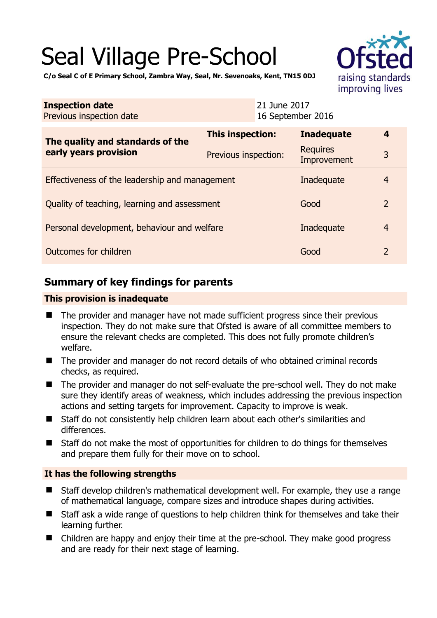# Seal Village Pre-School



**C/o Seal C of E Primary School, Zambra Way, Seal, Nr. Sevenoaks, Kent, TN15 0DJ** 

| <b>Inspection date</b><br>Previous inspection date        | 21 June 2017<br>16 September 2016 |                                |                |
|-----------------------------------------------------------|-----------------------------------|--------------------------------|----------------|
| The quality and standards of the<br>early years provision | This inspection:                  | <b>Inadequate</b>              | 4              |
|                                                           | Previous inspection:              | <b>Requires</b><br>Improvement | 3              |
| Effectiveness of the leadership and management            | Inadequate                        | $\overline{4}$                 |                |
| Quality of teaching, learning and assessment              |                                   | Good                           | $\overline{2}$ |
| Personal development, behaviour and welfare               |                                   | Inadequate                     | $\overline{4}$ |
| Outcomes for children<br>Good                             |                                   | $\overline{2}$                 |                |

# **Summary of key findings for parents**

#### **This provision is inadequate**

- The provider and manager have not made sufficient progress since their previous inspection. They do not make sure that Ofsted is aware of all committee members to ensure the relevant checks are completed. This does not fully promote children's welfare.
- The provider and manager do not record details of who obtained criminal records checks, as required.
- The provider and manager do not self-evaluate the pre-school well. They do not make sure they identify areas of weakness, which includes addressing the previous inspection actions and setting targets for improvement. Capacity to improve is weak.
- Staff do not consistently help children learn about each other's similarities and differences.
- Staff do not make the most of opportunities for children to do things for themselves and prepare them fully for their move on to school.

## **It has the following strengths**

- Staff develop children's mathematical development well. For example, they use a range of mathematical language, compare sizes and introduce shapes during activities.
- Staff ask a wide range of questions to help children think for themselves and take their learning further.
- Children are happy and enjoy their time at the pre-school. They make good progress and are ready for their next stage of learning.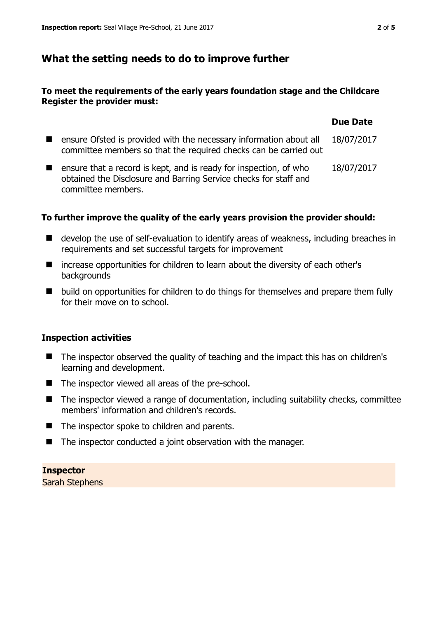# **What the setting needs to do to improve further**

## **To meet the requirements of the early years foundation stage and the Childcare Register the provider must:**

|                                                                                                                                                             | <b>Due Date</b> |
|-------------------------------------------------------------------------------------------------------------------------------------------------------------|-----------------|
| ensure Ofsted is provided with the necessary information about all<br>committee members so that the required checks can be carried out                      | 18/07/2017      |
| ensure that a record is kept, and is ready for inspection, of who<br>obtained the Disclosure and Barring Service checks for staff and<br>committee members. | 18/07/2017      |

## **To further improve the quality of the early years provision the provider should:**

- develop the use of self-evaluation to identify areas of weakness, including breaches in requirements and set successful targets for improvement
- increase opportunities for children to learn about the diversity of each other's backgrounds
- build on opportunities for children to do things for themselves and prepare them fully for their move on to school.

## **Inspection activities**

- The inspector observed the quality of teaching and the impact this has on children's learning and development.
- The inspector viewed all areas of the pre-school.
- The inspector viewed a range of documentation, including suitability checks, committee members' information and children's records.
- The inspector spoke to children and parents.
- The inspector conducted a joint observation with the manager.

#### **Inspector**

Sarah Stephens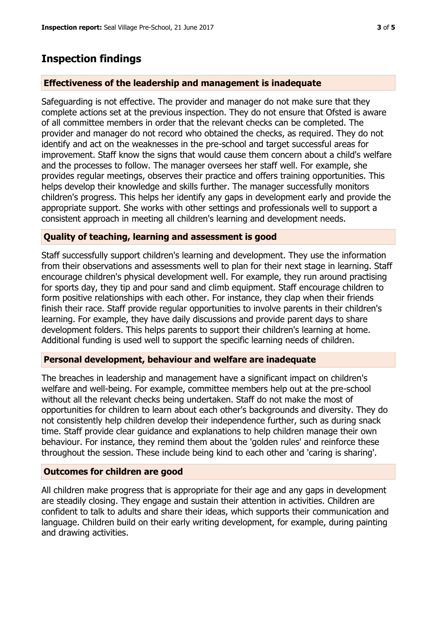# **Inspection findings**

#### **Effectiveness of the leadership and management is inadequate**

Safeguarding is not effective. The provider and manager do not make sure that they complete actions set at the previous inspection. They do not ensure that Ofsted is aware of all committee members in order that the relevant checks can be completed. The provider and manager do not record who obtained the checks, as required. They do not identify and act on the weaknesses in the pre-school and target successful areas for improvement. Staff know the signs that would cause them concern about a child's welfare and the processes to follow. The manager oversees her staff well. For example, she provides regular meetings, observes their practice and offers training opportunities. This helps develop their knowledge and skills further. The manager successfully monitors children's progress. This helps her identify any gaps in development early and provide the appropriate support. She works with other settings and professionals well to support a consistent approach in meeting all children's learning and development needs.

#### **Quality of teaching, learning and assessment is good**

Staff successfully support children's learning and development. They use the information from their observations and assessments well to plan for their next stage in learning. Staff encourage children's physical development well. For example, they run around practising for sports day, they tip and pour sand and climb equipment. Staff encourage children to form positive relationships with each other. For instance, they clap when their friends finish their race. Staff provide regular opportunities to involve parents in their children's learning. For example, they have daily discussions and provide parent days to share development folders. This helps parents to support their children's learning at home. Additional funding is used well to support the specific learning needs of children.

# **Personal development, behaviour and welfare are inadequate**

The breaches in leadership and management have a significant impact on children's welfare and well-being. For example, committee members help out at the pre-school without all the relevant checks being undertaken. Staff do not make the most of opportunities for children to learn about each other's backgrounds and diversity. They do not consistently help children develop their independence further, such as during snack time. Staff provide clear guidance and explanations to help children manage their own behaviour. For instance, they remind them about the 'golden rules' and reinforce these throughout the session. These include being kind to each other and 'caring is sharing'.

## **Outcomes for children are good**

All children make progress that is appropriate for their age and any gaps in development are steadily closing. They engage and sustain their attention in activities. Children are confident to talk to adults and share their ideas, which supports their communication and language. Children build on their early writing development, for example, during painting and drawing activities.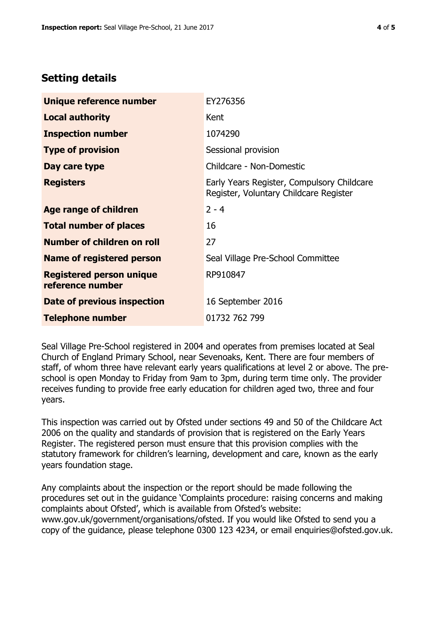# **Setting details**

| Unique reference number                             | EY276356                                                                             |
|-----------------------------------------------------|--------------------------------------------------------------------------------------|
| <b>Local authority</b>                              | Kent                                                                                 |
| <b>Inspection number</b>                            | 1074290                                                                              |
| <b>Type of provision</b>                            | Sessional provision                                                                  |
| Day care type                                       | Childcare - Non-Domestic                                                             |
| <b>Registers</b>                                    | Early Years Register, Compulsory Childcare<br>Register, Voluntary Childcare Register |
| Age range of children                               | $2 - 4$                                                                              |
| <b>Total number of places</b>                       | 16                                                                                   |
| Number of children on roll                          | 27                                                                                   |
| <b>Name of registered person</b>                    | Seal Village Pre-School Committee                                                    |
| <b>Registered person unique</b><br>reference number | RP910847                                                                             |
| Date of previous inspection                         | 16 September 2016                                                                    |
| <b>Telephone number</b>                             | 01732 762 799                                                                        |

Seal Village Pre-School registered in 2004 and operates from premises located at Seal Church of England Primary School, near Sevenoaks, Kent. There are four members of staff, of whom three have relevant early years qualifications at level 2 or above. The preschool is open Monday to Friday from 9am to 3pm, during term time only. The provider receives funding to provide free early education for children aged two, three and four years.

This inspection was carried out by Ofsted under sections 49 and 50 of the Childcare Act 2006 on the quality and standards of provision that is registered on the Early Years Register. The registered person must ensure that this provision complies with the statutory framework for children's learning, development and care, known as the early years foundation stage.

Any complaints about the inspection or the report should be made following the procedures set out in the guidance 'Complaints procedure: raising concerns and making complaints about Ofsted', which is available from Ofsted's website: www.gov.uk/government/organisations/ofsted. If you would like Ofsted to send you a copy of the guidance, please telephone 0300 123 4234, or email enquiries@ofsted.gov.uk.